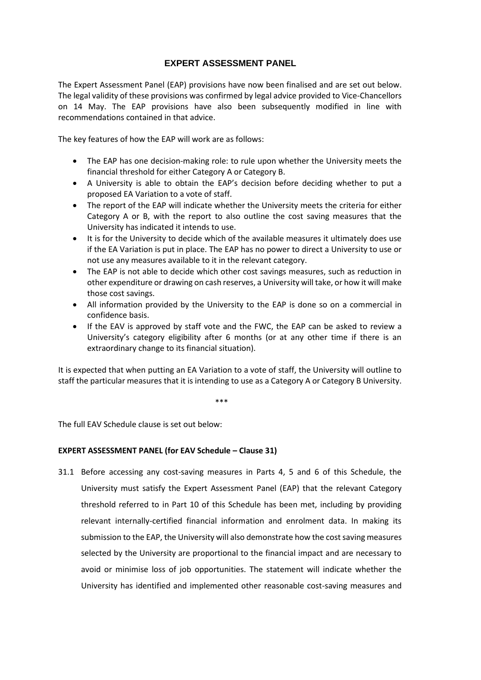## **EXPERT ASSESSMENT PANEL**

The Expert Assessment Panel (EAP) provisions have now been finalised and are set out below. The legal validity of these provisions was confirmed by legal advice provided to Vice-Chancellors on 14 May. The EAP provisions have also been subsequently modified in line with recommendations contained in that advice.

The key features of how the EAP will work are as follows:

- The EAP has one decision-making role: to rule upon whether the University meets the financial threshold for either Category A or Category B.
- A University is able to obtain the EAP's decision before deciding whether to put a proposed EA Variation to a vote of staff.
- The report of the EAP will indicate whether the University meets the criteria for either Category A or B, with the report to also outline the cost saving measures that the University has indicated it intends to use.
- It is for the University to decide which of the available measures it ultimately does use if the EA Variation is put in place. The EAP has no power to direct a University to use or not use any measures available to it in the relevant category.
- The EAP is not able to decide which other cost savings measures, such as reduction in other expenditure or drawing on cash reserves, a University will take, or how it will make those cost savings.
- All information provided by the University to the EAP is done so on a commercial in confidence basis.
- If the EAV is approved by staff vote and the FWC, the EAP can be asked to review a University's category eligibility after 6 months (or at any other time if there is an extraordinary change to its financial situation).

It is expected that when putting an EA Variation to a vote of staff, the University will outline to staff the particular measures that it is intending to use as a Category A or Category B University.

\*\*\*

The full EAV Schedule clause is set out below:

## **EXPERT ASSESSMENT PANEL (for EAV Schedule – Clause 31)**

31.1 Before accessing any cost-saving measures in Parts 4, 5 and 6 of this Schedule, the University must satisfy the Expert Assessment Panel (EAP) that the relevant Category threshold referred to in Part 10 of this Schedule has been met, including by providing relevant internally-certified financial information and enrolment data. In making its submission to the EAP, the University will also demonstrate how the cost saving measures selected by the University are proportional to the financial impact and are necessary to avoid or minimise loss of job opportunities. The statement will indicate whether the University has identified and implemented other reasonable cost-saving measures and